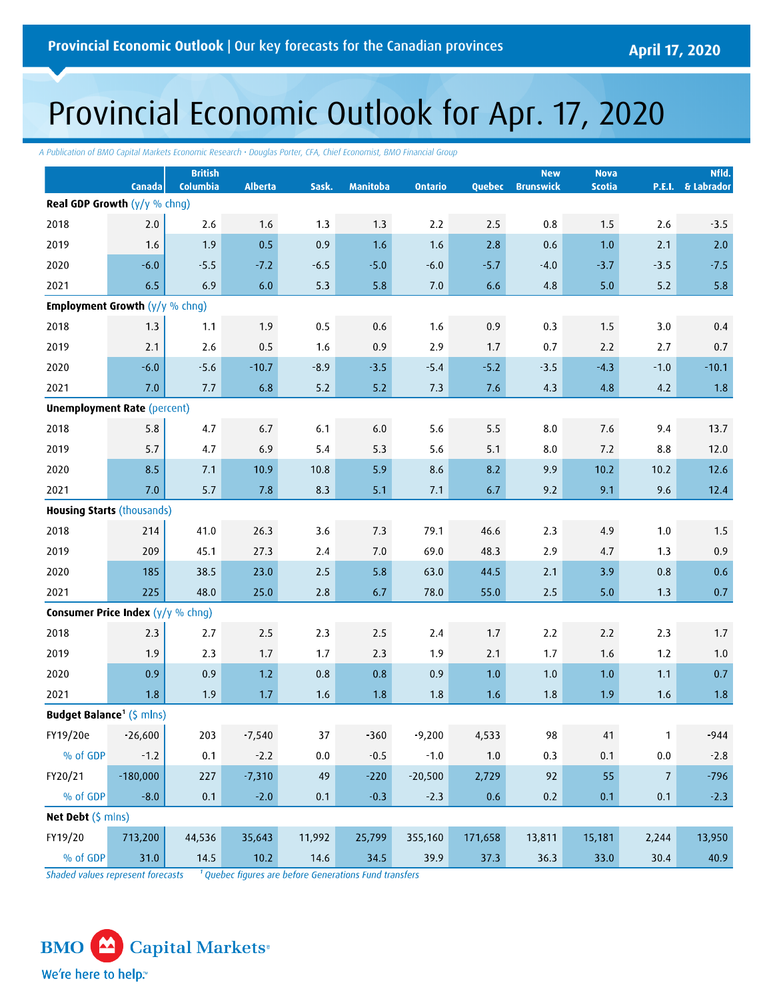# Provincial Economic Outlook for Apr. 17, 2020

*A Publication of BMO Capital Markets Economic Research • Douglas Porter, CFA, Chief Economist, BMO Financial Group*

|                                                     | Canada     | <b>British</b><br>Columbia | <b>Alberta</b> | Sask.   | <b>Manitoba</b> | <b>Ontario</b> | Quebec  | <b>New</b><br><b>Brunswick</b> | <b>Nova</b><br><b>Scotia</b> |                | Nfld.<br>P.E.I. & Labrador |
|-----------------------------------------------------|------------|----------------------------|----------------|---------|-----------------|----------------|---------|--------------------------------|------------------------------|----------------|----------------------------|
| <b>Real GDP Growth</b> $(y/y \%$ chng)              |            |                            |                |         |                 |                |         |                                |                              |                |                            |
| 2018                                                | $2.0$      | 2.6                        | 1.6            | 1.3     | 1.3             | 2.2            | 2.5     | $0.8\,$                        | 1.5                          | 2.6            | $-3.5$                     |
| 2019                                                | 1.6        | 1.9                        | 0.5            | 0.9     | 1.6             | 1.6            | 2.8     | 0.6                            | 1.0                          | 2.1            | 2.0                        |
| 2020                                                | $-6.0$     | $-5.5$                     | $-7.2$         | $-6.5$  | $-5.0$          | $-6.0$         | $-5.7$  | $-4.0$                         | $-3.7$                       | $-3.5$         | $-7.5$                     |
| 2021                                                | 6.5        | 6.9                        | 6.0            | 5.3     | 5.8             | 7.0            | 6.6     | 4.8                            | 5.0                          | 5.2            | 5.8                        |
| <b>Employment Growth <math>(y/y \%</math> chng)</b> |            |                            |                |         |                 |                |         |                                |                              |                |                            |
| 2018                                                | 1.3        | 1.1                        | 1.9            | 0.5     | $0.6\,$         | 1.6            | 0.9     | 0.3                            | 1.5                          | 3.0            | 0.4                        |
| 2019                                                | 2.1        | 2.6                        | 0.5            | 1.6     | 0.9             | 2.9            | 1.7     | 0.7                            | 2.2                          | 2.7            | 0.7                        |
| 2020                                                | $-6.0$     | $-5.6$                     | $-10.7$        | $-8.9$  | $-3.5$          | $-5.4$         | $-5.2$  | $-3.5$                         | $-4.3$                       | $-1.0$         | $-10.1$                    |
| 2021                                                | 7.0        | 7.7                        | 6.8            | 5.2     | 5.2             | 7.3            | 7.6     | 4.3                            | 4.8                          | 4.2            | 1.8                        |
| <b>Unemployment Rate (percent)</b>                  |            |                            |                |         |                 |                |         |                                |                              |                |                            |
| 2018                                                | 5.8        | 4.7                        | 6.7            | 6.1     | $6.0\,$         | 5.6            | 5.5     | $8.0\,$                        | 7.6                          | 9.4            | 13.7                       |
| 2019                                                | 5.7        | 4.7                        | 6.9            | 5.4     | 5.3             | 5.6            | 5.1     | 8.0                            | 7.2                          | 8.8            | 12.0                       |
| 2020                                                | 8.5        | 7.1                        | 10.9           | 10.8    | 5.9             | 8.6            | 8.2     | 9.9                            | 10.2                         | 10.2           | 12.6                       |
| 2021                                                | 7.0        | 5.7                        | 7.8            | 8.3     | 5.1             | 7.1            | 6.7     | 9.2                            | 9.1                          | 9.6            | 12.4                       |
| <b>Housing Starts (thousands)</b>                   |            |                            |                |         |                 |                |         |                                |                              |                |                            |
| 2018                                                | 214        | 41.0                       | 26.3           | 3.6     | 7.3             | 79.1           | 46.6    | 2.3                            | 4.9                          | 1.0            | 1.5                        |
| 2019                                                | 209        | 45.1                       | 27.3           | 2.4     | 7.0             | 69.0           | 48.3    | 2.9                            | 4.7                          | 1.3            | 0.9                        |
| 2020                                                | 185        | 38.5                       | 23.0           | 2.5     | 5.8             | 63.0           | 44.5    | 2.1                            | 3.9                          | $0.8\,$        | 0.6                        |
| 2021                                                | 225        | 48.0                       | 25.0           | 2.8     | 6.7             | 78.0           | 55.0    | 2.5                            | 5.0                          | 1.3            | 0.7                        |
| <b>Consumer Price Index</b> $(y/y \%$ chng)         |            |                            |                |         |                 |                |         |                                |                              |                |                            |
| 2018                                                | 2.3        | 2.7                        | $2.5$          | 2.3     | 2.5             | 2.4            | 1.7     | $2.2$                          | 2.2                          | 2.3            | 1.7                        |
| 2019                                                | 1.9        | 2.3                        | 1.7            | 1.7     | 2.3             | 1.9            | 2.1     | 1.7                            | 1.6                          | 1.2            | 1.0                        |
| 2020                                                | 0.9        | 0.9                        | 1.2            | $0.8\,$ | $0.8\,$         | 0.9            | $1.0\,$ | $1.0\,$                        | $1.0\,$                      | 1.1            | 0.7                        |
| 2021                                                | 1.8        | 1.9                        | 1.7            | 1.6     | 1.8             | 1.8            | 1.6     | 1.8                            | 1.9                          | 1.6            | 1.8                        |
| <b>Budget Balance<sup>1</sup></b> (\$ mlns)         |            |                            |                |         |                 |                |         |                                |                              |                |                            |
| FY19/20e                                            | $-26,600$  | 203                        | $-7,540$       | 37      | $-360$          | $-9,200$       | 4,533   | 98                             | $41\,$                       | $\mathbf{1}$   | $-944$                     |
| % of GDP                                            | $-1.2$     | 0.1                        | $-2.2$         | $0.0\,$ | $-0.5$          | $-1.0$         | $1.0\,$ | $0.3\,$                        | 0.1                          | $0.0\,$        | 2.8                        |
| FY20/21                                             | $-180,000$ | 227                        | 7,310          | 49      | $-220$          | $-20,500$      | 2,729   | 92                             | 55                           | $\overline{7}$ | $-796$                     |
| % of GDP                                            | $-8.0$     | 0.1                        | $-2.0$         | 0.1     | $-0.3$          | $-2.3$         | $0.6\,$ | 0.2                            | 0.1                          | 0.1            | $-2.3$                     |
| Net Debt (\$ mlns)                                  |            |                            |                |         |                 |                |         |                                |                              |                |                            |
| FY19/20                                             | 713,200    | 44,536                     | 35,643         | 11,992  | 25,799          | 355,160        | 171,658 | 13,811                         | 15,181                       | 2,244          | 13,950                     |
| % of GDP                                            | 31.0       | 14.5                       | $10.2$         | 14.6    | 34.5            | 39.9           | 37.3    | 36.3                           | 33.0                         | 30.4           | 40.9                       |

<sup>1</sup> Quebec figures are before Generations Fund transfers Shaded values represent forecasts